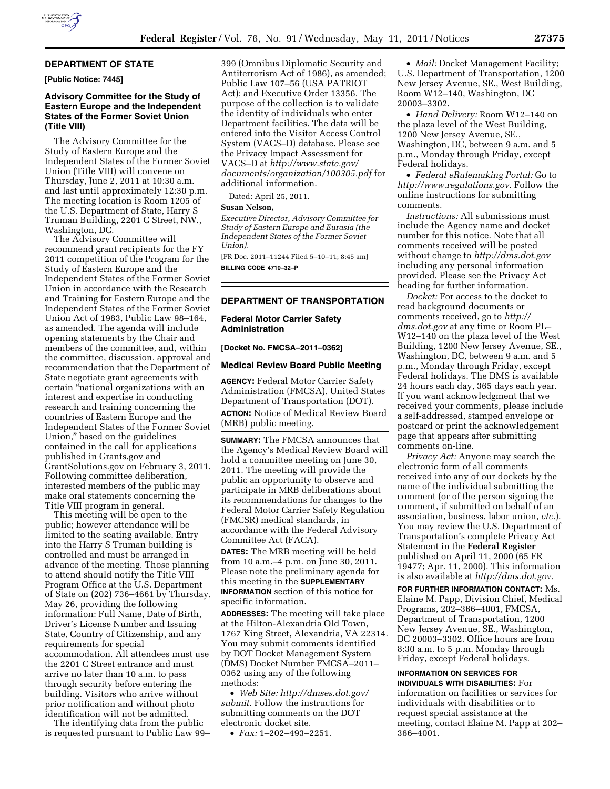

## **DEPARTMENT OF STATE**

**[Public Notice: 7445]** 

## **Advisory Committee for the Study of Eastern Europe and the Independent States of the Former Soviet Union (Title VIII)**

The Advisory Committee for the Study of Eastern Europe and the Independent States of the Former Soviet Union (Title VIII) will convene on Thursday, June 2, 2011 at 10:30 a.m. and last until approximately 12:30 p.m. The meeting location is Room 1205 of the U.S. Department of State, Harry S Truman Building, 2201 C Street, NW., Washington, DC.

The Advisory Committee will recommend grant recipients for the FY 2011 competition of the Program for the Study of Eastern Europe and the Independent States of the Former Soviet Union in accordance with the Research and Training for Eastern Europe and the Independent States of the Former Soviet Union Act of 1983, Public Law 98–164, as amended. The agenda will include opening statements by the Chair and members of the committee, and, within the committee, discussion, approval and recommendation that the Department of State negotiate grant agreements with certain ''national organizations with an interest and expertise in conducting research and training concerning the countries of Eastern Europe and the Independent States of the Former Soviet Union,'' based on the guidelines contained in the call for applications published in Grants.gov and GrantSolutions.gov on February 3, 2011. Following committee deliberation, interested members of the public may make oral statements concerning the Title VIII program in general.

This meeting will be open to the public; however attendance will be limited to the seating available. Entry into the Harry S Truman building is controlled and must be arranged in advance of the meeting. Those planning to attend should notify the Title VIII Program Office at the U.S. Department of State on (202) 736–4661 by Thursday, May 26, providing the following information: Full Name, Date of Birth, Driver's License Number and Issuing State, Country of Citizenship, and any requirements for special accommodation. All attendees must use the 2201 C Street entrance and must arrive no later than 10 a.m. to pass through security before entering the building. Visitors who arrive without prior notification and without photo identification will not be admitted.

The identifying data from the public is requested pursuant to Public Law 99–

399 (Omnibus Diplomatic Security and Antiterrorism Act of 1986), as amended; Public Law 107–56 (USA PATRIOT Act); and Executive Order 13356. The purpose of the collection is to validate the identity of individuals who enter Department facilities. The data will be entered into the Visitor Access Control System (VACS–D) database. Please see the Privacy Impact Assessment for VACS–D at *[http://www.state.gov/](http://www.state.gov/documents/organization/100305.pdf) [documents/organization/100305.pdf](http://www.state.gov/documents/organization/100305.pdf)* for additional information.

Dated: April 25, 2011.

# **Susan Nelson,**

*Executive Director, Advisory Committee for Study of Eastern Europe and Eurasia (the Independent States of the Former Soviet Union).* 

[FR Doc. 2011–11244 Filed 5–10–11; 8:45 am] **BILLING CODE 4710–32–P** 

## **DEPARTMENT OF TRANSPORTATION**

### **Federal Motor Carrier Safety Administration**

**[Docket No. FMCSA–2011–0362]** 

#### **Medical Review Board Public Meeting**

**AGENCY:** Federal Motor Carrier Safety Administration (FMCSA), United States Department of Transportation (DOT). **ACTION:** Notice of Medical Review Board (MRB) public meeting.

**SUMMARY:** The FMCSA announces that the Agency's Medical Review Board will hold a committee meeting on June 30, 2011. The meeting will provide the public an opportunity to observe and participate in MRB deliberations about its recommendations for changes to the Federal Motor Carrier Safety Regulation (FMCSR) medical standards, in accordance with the Federal Advisory Committee Act (FACA).

**DATES:** The MRB meeting will be held from 10 a.m.–4 p.m. on June 30, 2011. Please note the preliminary agenda for this meeting in the **SUPPLEMENTARY INFORMATION** section of this notice for specific information.

**ADDRESSES:** The meeting will take place at the Hilton-Alexandria Old Town, 1767 King Street, Alexandria, VA 22314. You may submit comments identified by DOT Docket Management System (DMS) Docket Number FMCSA–2011– 0362 using any of the following methods:

• *Web Site: [http://dmses.dot.gov/](http://dmses.dot.gov/submit) [submit.](http://dmses.dot.gov/submit)* Follow the instructions for submitting comments on the DOT electronic docket site.

• *Fax:* 1–202–493–2251.

• *Mail:* Docket Management Facility; U.S. Department of Transportation, 1200 New Jersey Avenue, SE., West Building, Room W12–140, Washington, DC 20003–3302.

• *Hand Delivery:* Room W12–140 on the plaza level of the West Building, 1200 New Jersey Avenue, SE., Washington, DC, between 9 a.m. and 5 p.m., Monday through Friday, except Federal holidays.

• *Federal eRulemaking Portal:* Go to *[http://www.regulations.gov.](http://www.regulations.gov)* Follow the online instructions for submitting comments.

*Instructions:* All submissions must include the Agency name and docket number for this notice. Note that all comments received will be posted without change to *<http://dms.dot.gov>* including any personal information provided. Please see the Privacy Act heading for further information.

*Docket:* For access to the docket to read background documents or comments received, go to *[http://](http://dms.dot.gov)  [dms.dot.gov](http://dms.dot.gov)* at any time or Room PL– W12–140 on the plaza level of the West Building, 1200 New Jersey Avenue, SE., Washington, DC, between 9 a.m. and 5 p.m., Monday through Friday, except Federal holidays. The DMS is available 24 hours each day, 365 days each year. If you want acknowledgment that we received your comments, please include a self-addressed, stamped envelope or postcard or print the acknowledgement page that appears after submitting comments on-line.

*Privacy Act:* Anyone may search the electronic form of all comments received into any of our dockets by the name of the individual submitting the comment (or of the person signing the comment, if submitted on behalf of an association, business, labor union, *etc.*). You may review the U.S. Department of Transportation's complete Privacy Act Statement in the **Federal Register**  published on April 11, 2000 (65 FR 19477; Apr. 11, 2000). This information is also available at *[http://dms.dot.gov.](http://dms.dot.gov)* 

**FOR FURTHER INFORMATION CONTACT:** Ms. Elaine M. Papp, Division Chief, Medical Programs, 202–366–4001, FMCSA, Department of Transportation, 1200 New Jersey Avenue, SE., Washington, DC 20003–3302. Office hours are from 8:30 a.m. to 5 p.m. Monday through Friday, except Federal holidays.

### **INFORMATION ON SERVICES FOR**

**INDIVIDUALS WITH DISABILITIES:** For information on facilities or services for individuals with disabilities or to request special assistance at the meeting, contact Elaine M. Papp at 202– 366–4001.